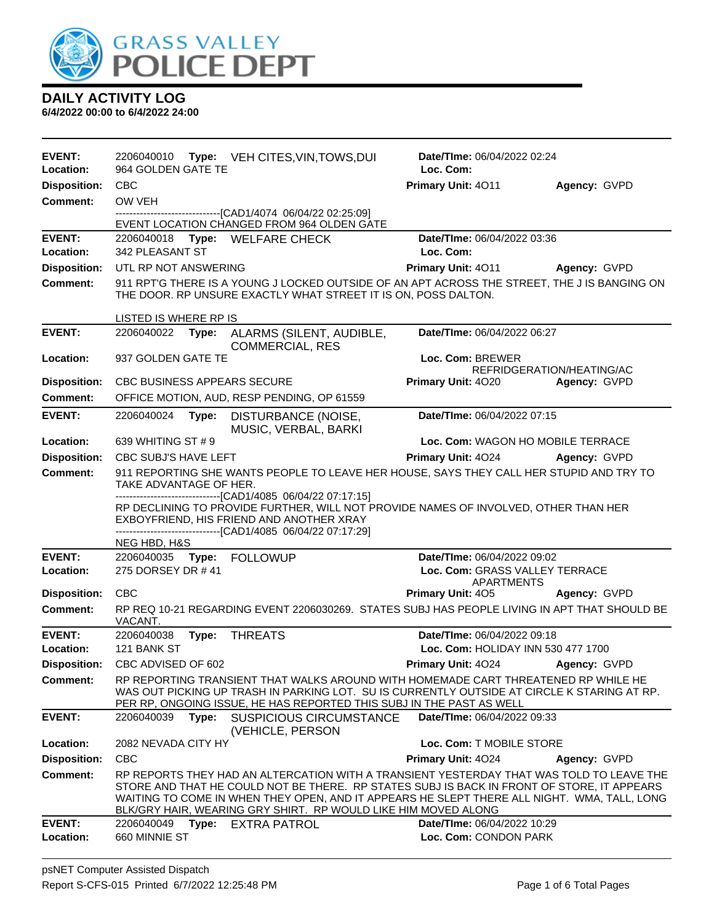

| <b>EVENT:</b><br>Location: | 2206040010<br>964 GOLDEN GATE TE                                                                                                                                                                                                                                | <b>Type:</b> VEH CITES, VIN, TOWS, DUI                                                                                                                                                                                                                                                                                                                  | Date/TIme: 06/04/2022 02:24<br>Loc. Com:             |                           |
|----------------------------|-----------------------------------------------------------------------------------------------------------------------------------------------------------------------------------------------------------------------------------------------------------------|---------------------------------------------------------------------------------------------------------------------------------------------------------------------------------------------------------------------------------------------------------------------------------------------------------------------------------------------------------|------------------------------------------------------|---------------------------|
| <b>Disposition:</b>        | <b>CBC</b>                                                                                                                                                                                                                                                      |                                                                                                                                                                                                                                                                                                                                                         | Primary Unit: 4011                                   | Agency: GVPD              |
| <b>Comment:</b>            | OW VEH                                                                                                                                                                                                                                                          |                                                                                                                                                                                                                                                                                                                                                         |                                                      |                           |
|                            |                                                                                                                                                                                                                                                                 | ---------------------------------[CAD1/4074 06/04/22 02:25:09]<br>EVENT LOCATION CHANGED FROM 964 OLDEN GATE                                                                                                                                                                                                                                            |                                                      |                           |
| <b>EVENT:</b><br>Location: | 342 PLEASANT ST                                                                                                                                                                                                                                                 | 2206040018 Type: WELFARE CHECK                                                                                                                                                                                                                                                                                                                          | Date/TIme: 06/04/2022 03:36<br>Loc. Com:             |                           |
| <b>Disposition:</b>        | UTL RP NOT ANSWERING                                                                                                                                                                                                                                            |                                                                                                                                                                                                                                                                                                                                                         | Primary Unit: 4011                                   | Agency: GVPD              |
| <b>Comment:</b>            |                                                                                                                                                                                                                                                                 | 911 RPT'G THERE IS A YOUNG J LOCKED OUTSIDE OF AN APT ACROSS THE STREET, THE J IS BANGING ON<br>THE DOOR. RP UNSURE EXACTLY WHAT STREET IT IS ON, POSS DALTON.                                                                                                                                                                                          |                                                      |                           |
|                            | LISTED IS WHERE RP IS                                                                                                                                                                                                                                           |                                                                                                                                                                                                                                                                                                                                                         |                                                      |                           |
| <b>EVENT:</b>              | 2206040022<br>Type:                                                                                                                                                                                                                                             | ALARMS (SILENT, AUDIBLE,<br>COMMERCIAL, RES                                                                                                                                                                                                                                                                                                             | Date/TIme: 06/04/2022 06:27                          |                           |
| Location:                  | 937 GOLDEN GATE TE                                                                                                                                                                                                                                              |                                                                                                                                                                                                                                                                                                                                                         | Loc. Com: BREWER                                     | REFRIDGERATION/HEATING/AC |
| <b>Disposition:</b>        | <b>CBC BUSINESS APPEARS SECURE</b>                                                                                                                                                                                                                              |                                                                                                                                                                                                                                                                                                                                                         | Primary Unit: 4020                                   | Agency: GVPD              |
| Comment:                   |                                                                                                                                                                                                                                                                 | OFFICE MOTION, AUD, RESP PENDING, OP 61559                                                                                                                                                                                                                                                                                                              |                                                      |                           |
| <b>EVENT:</b>              | 2206040024<br>Type:                                                                                                                                                                                                                                             | DISTURBANCE (NOISE,<br>MUSIC, VERBAL, BARKI                                                                                                                                                                                                                                                                                                             | Date/TIme: 06/04/2022 07:15                          |                           |
| Location:                  | 639 WHITING ST # 9                                                                                                                                                                                                                                              |                                                                                                                                                                                                                                                                                                                                                         | Loc. Com: WAGON HO MOBILE TERRACE                    |                           |
| <b>Disposition:</b>        | CBC SUBJ'S HAVE LEFT                                                                                                                                                                                                                                            |                                                                                                                                                                                                                                                                                                                                                         | Primary Unit: 4024                                   | Agency: GVPD              |
| <b>Comment:</b>            | 911 REPORTING SHE WANTS PEOPLE TO LEAVE HER HOUSE, SAYS THEY CALL HER STUPID AND TRY TO<br>TAKE ADVANTAGE OF HER.                                                                                                                                               |                                                                                                                                                                                                                                                                                                                                                         |                                                      |                           |
|                            | -------------------------------[CAD1/4085 06/04/22 07:17:15]<br>RP DECLINING TO PROVIDE FURTHER, WILL NOT PROVIDE NAMES OF INVOLVED, OTHER THAN HER<br>EXBOYFRIEND, HIS FRIEND AND ANOTHER XRAY<br>-------------------------------[CAD1/4085 06/04/22 07:17:29] |                                                                                                                                                                                                                                                                                                                                                         |                                                      |                           |
|                            | NEG HBD, H&S                                                                                                                                                                                                                                                    |                                                                                                                                                                                                                                                                                                                                                         |                                                      |                           |
| <b>EVENT:</b>              | 2206040035 Type: FOLLOWUP                                                                                                                                                                                                                                       |                                                                                                                                                                                                                                                                                                                                                         | Date/TIme: 06/04/2022 09:02                          |                           |
| Location:                  | 275 DORSEY DR #41                                                                                                                                                                                                                                               |                                                                                                                                                                                                                                                                                                                                                         | Loc. Com: GRASS VALLEY TERRACE<br><b>APARTMENTS</b>  |                           |
| <b>Disposition:</b>        | <b>CBC</b>                                                                                                                                                                                                                                                      |                                                                                                                                                                                                                                                                                                                                                         | <b>Primary Unit: 405</b>                             | Agency: GVPD              |
| <b>Comment:</b>            | VACANT.                                                                                                                                                                                                                                                         | RP REQ 10-21 REGARDING EVENT 2206030269. STATES SUBJ HAS PEOPLE LIVING IN APT THAT SHOULD BE                                                                                                                                                                                                                                                            |                                                      |                           |
| <b>EVENT:</b>              | 2206040038<br>Type:                                                                                                                                                                                                                                             | <b>THREATS</b>                                                                                                                                                                                                                                                                                                                                          | Date/TIme: 06/04/2022 09:18                          |                           |
| Location:                  | 121 BANK ST                                                                                                                                                                                                                                                     |                                                                                                                                                                                                                                                                                                                                                         | Loc. Com: HOLIDAY INN 530 477 1700                   |                           |
| <b>Disposition:</b>        | CBC ADVISED OF 602                                                                                                                                                                                                                                              |                                                                                                                                                                                                                                                                                                                                                         | Primary Unit: 4024                                   | Agency: GVPD              |
| <b>Comment:</b>            |                                                                                                                                                                                                                                                                 | RP REPORTING TRANSIENT THAT WALKS AROUND WITH HOMEMADE CART THREATENED RP WHILE HE<br>WAS OUT PICKING UP TRASH IN PARKING LOT. SU IS CURRENTLY OUTSIDE AT CIRCLE K STARING AT RP.<br>PER RP, ONGOING ISSUE, HE HAS REPORTED THIS SUBJ IN THE PAST AS WELL                                                                                               |                                                      |                           |
| <b>EVENT:</b>              | 2206040039<br>Type:                                                                                                                                                                                                                                             | <b>SUSPICIOUS CIRCUMSTANCE</b><br>(VEHICLE, PERSON                                                                                                                                                                                                                                                                                                      | Date/TIme: 06/04/2022 09:33                          |                           |
| Location:                  | 2082 NEVADA CITY HY                                                                                                                                                                                                                                             |                                                                                                                                                                                                                                                                                                                                                         | Loc. Com: T MOBILE STORE                             |                           |
| <b>Disposition:</b>        | <b>CBC</b>                                                                                                                                                                                                                                                      |                                                                                                                                                                                                                                                                                                                                                         | Primary Unit: 4024                                   | Agency: GVPD              |
| <b>Comment:</b>            |                                                                                                                                                                                                                                                                 | RP REPORTS THEY HAD AN ALTERCATION WITH A TRANSIENT YESTERDAY THAT WAS TOLD TO LEAVE THE<br>STORE AND THAT HE COULD NOT BE THERE. RP STATES SUBJ IS BACK IN FRONT OF STORE, IT APPEARS<br>WAITING TO COME IN WHEN THEY OPEN, AND IT APPEARS HE SLEPT THERE ALL NIGHT. WMA, TALL, LONG<br>BLK/GRY HAIR, WEARING GRY SHIRT. RP WOULD LIKE HIM MOVED ALONG |                                                      |                           |
| <b>EVENT:</b><br>Location: | 2206040049<br>Type:<br>660 MINNIE ST                                                                                                                                                                                                                            | <b>EXTRA PATROL</b>                                                                                                                                                                                                                                                                                                                                     | Date/TIme: 06/04/2022 10:29<br>Loc. Com: CONDON PARK |                           |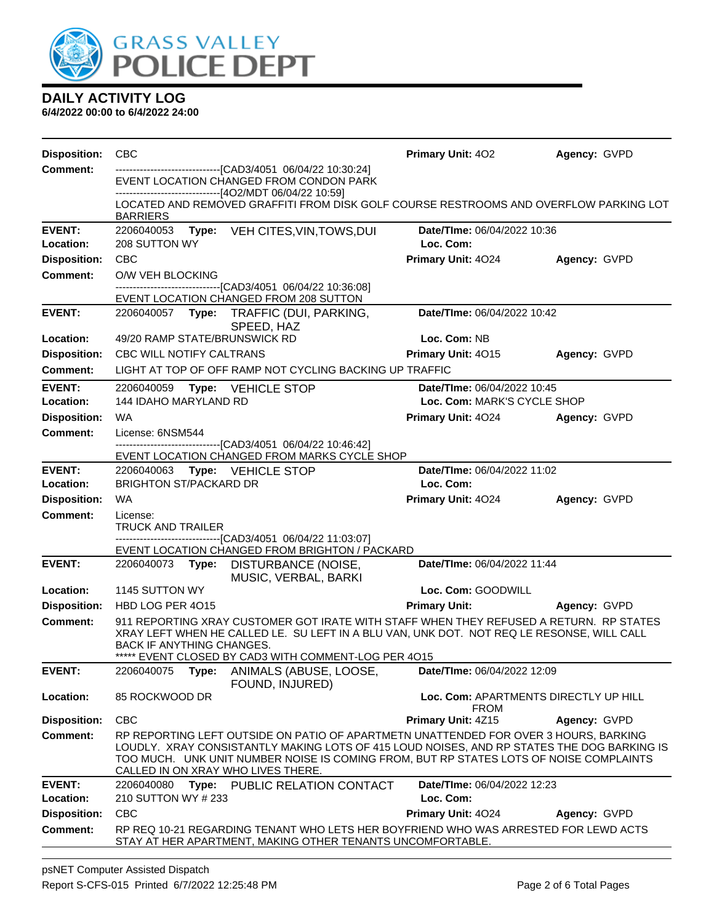

| <b>Disposition:</b>        | <b>CBC</b>                                                                                                                                                                                                                                                                                                         | <b>Primary Unit: 402</b>                             | Agency: GVPD |
|----------------------------|--------------------------------------------------------------------------------------------------------------------------------------------------------------------------------------------------------------------------------------------------------------------------------------------------------------------|------------------------------------------------------|--------------|
| <b>Comment:</b>            | -------------------------------[CAD3/4051 06/04/22 10:30:24]<br>EVENT LOCATION CHANGED FROM CONDON PARK<br>-----------------[4O2/MDT 06/04/22 10:59]                                                                                                                                                               |                                                      |              |
|                            | LOCATED AND REMOVED GRAFFITI FROM DISK GOLF COURSE RESTROOMS AND OVERFLOW PARKING LOT<br><b>BARRIERS</b>                                                                                                                                                                                                           |                                                      |              |
| <b>EVENT:</b><br>Location: | 2206040053 Type: VEH CITES, VIN, TOWS, DUI<br>208 SUTTON WY                                                                                                                                                                                                                                                        | Date/TIme: 06/04/2022 10:36<br>Loc. Com:             |              |
| <b>Disposition:</b>        | <b>CBC</b>                                                                                                                                                                                                                                                                                                         | Primary Unit: 4024                                   | Agency: GVPD |
| <b>Comment:</b>            | O/W VEH BLOCKING                                                                                                                                                                                                                                                                                                   |                                                      |              |
|                            | --------------------[CAD3/4051 06/04/22 10:36:08]<br>EVENT LOCATION CHANGED FROM 208 SUTTON                                                                                                                                                                                                                        |                                                      |              |
| <b>EVENT:</b>              | Type: TRAFFIC (DUI, PARKING,<br>2206040057<br>SPEED, HAZ                                                                                                                                                                                                                                                           | Date/TIme: 06/04/2022 10:42                          |              |
| Location:                  | 49/20 RAMP STATE/BRUNSWICK RD                                                                                                                                                                                                                                                                                      | Loc. Com: NB                                         |              |
| <b>Disposition:</b>        | <b>CBC WILL NOTIFY CALTRANS</b>                                                                                                                                                                                                                                                                                    | Primary Unit: 4015                                   | Agency: GVPD |
| <b>Comment:</b>            | LIGHT AT TOP OF OFF RAMP NOT CYCLING BACKING UP TRAFFIC                                                                                                                                                                                                                                                            |                                                      |              |
| <b>EVENT:</b>              | 2206040059 Type: VEHICLE STOP                                                                                                                                                                                                                                                                                      | Date/TIme: 06/04/2022 10:45                          |              |
| Location:                  | 144 IDAHO MARYLAND RD                                                                                                                                                                                                                                                                                              | Loc. Com: MARK'S CYCLE SHOP                          |              |
| <b>Disposition:</b>        | WA                                                                                                                                                                                                                                                                                                                 | <b>Primary Unit: 4024</b>                            | Agency: GVPD |
| <b>Comment:</b>            | License: 6NSM544<br>-------------------------[CAD3/4051_06/04/22 10:46:42]                                                                                                                                                                                                                                         |                                                      |              |
|                            | EVENT LOCATION CHANGED FROM MARKS CYCLE SHOP                                                                                                                                                                                                                                                                       |                                                      |              |
| <b>EVENT:</b><br>Location: | 2206040063 Type: VEHICLE STOP<br><b>BRIGHTON ST/PACKARD DR</b>                                                                                                                                                                                                                                                     | Date/TIme: 06/04/2022 11:02<br>Loc. Com:             |              |
| <b>Disposition:</b>        | WA                                                                                                                                                                                                                                                                                                                 | Primary Unit: 4024                                   | Agency: GVPD |
| <b>Comment:</b>            | License:<br><b>TRUCK AND TRAILER</b>                                                                                                                                                                                                                                                                               |                                                      |              |
|                            | -------------------------------[CAD3/4051 06/04/22 11:03:07]<br>EVENT LOCATION CHANGED FROM BRIGHTON / PACKARD                                                                                                                                                                                                     |                                                      |              |
| <b>EVENT:</b>              | 2206040073<br>DISTURBANCE (NOISE,<br>Type:<br>MUSIC, VERBAL, BARKI                                                                                                                                                                                                                                                 | Date/TIme: 06/04/2022 11:44                          |              |
| Location:                  | 1145 SUTTON WY                                                                                                                                                                                                                                                                                                     | Loc. Com: GOODWILL                                   |              |
| <b>Disposition:</b>        | HBD LOG PER 4015                                                                                                                                                                                                                                                                                                   | <b>Primary Unit:</b>                                 | Agency: GVPD |
| <b>Comment:</b>            | 911 REPORTING XRAY CUSTOMER GOT IRATE WITH STAFF WHEN THEY REFUSED A RETURN. RP STATES<br>XRAY LEFT WHEN HE CALLED LE. SU LEFT IN A BLU VAN, UNK DOT. NOT REQ LE RESONSE, WILL CALL<br><b>BACK IF ANYTHING CHANGES.</b>                                                                                            |                                                      |              |
| <b>EVENT:</b>              | ***** EVENT CLOSED BY CAD3 WITH COMMENT-LOG PER 4015<br>2206040075<br>ANIMALS (ABUSE, LOOSE,<br>Type:                                                                                                                                                                                                              | Date/TIme: 06/04/2022 12:09                          |              |
|                            | FOUND, INJURED)                                                                                                                                                                                                                                                                                                    |                                                      |              |
| Location:                  | 85 ROCKWOOD DR                                                                                                                                                                                                                                                                                                     | Loc. Com: APARTMENTS DIRECTLY UP HILL<br><b>FROM</b> |              |
| <b>Disposition:</b>        | <b>CBC</b>                                                                                                                                                                                                                                                                                                         | Primary Unit: 4Z15                                   | Agency: GVPD |
| <b>Comment:</b>            | RP REPORTING LEFT OUTSIDE ON PATIO OF APARTMETN UNATTENDED FOR OVER 3 HOURS, BARKING<br>LOUDLY. XRAY CONSISTANTLY MAKING LOTS OF 415 LOUD NOISES, AND RP STATES THE DOG BARKING IS<br>TOO MUCH. UNK UNIT NUMBER NOISE IS COMING FROM, BUT RP STATES LOTS OF NOISE COMPLAINTS<br>CALLED IN ON XRAY WHO LIVES THERE. |                                                      |              |
| <b>EVENT:</b>              | 2206040080<br>Type: PUBLIC RELATION CONTACT                                                                                                                                                                                                                                                                        | Date/TIme: 06/04/2022 12:23                          |              |
| Location:                  | 210 SUTTON WY # 233                                                                                                                                                                                                                                                                                                | Loc. Com:                                            |              |
| <b>Disposition:</b>        | CBC                                                                                                                                                                                                                                                                                                                | Primary Unit: 4024                                   | Agency: GVPD |
| <b>Comment:</b>            | RP REQ 10-21 REGARDING TENANT WHO LETS HER BOYFRIEND WHO WAS ARRESTED FOR LEWD ACTS<br>STAY AT HER APARTMENT, MAKING OTHER TENANTS UNCOMFORTABLE.                                                                                                                                                                  |                                                      |              |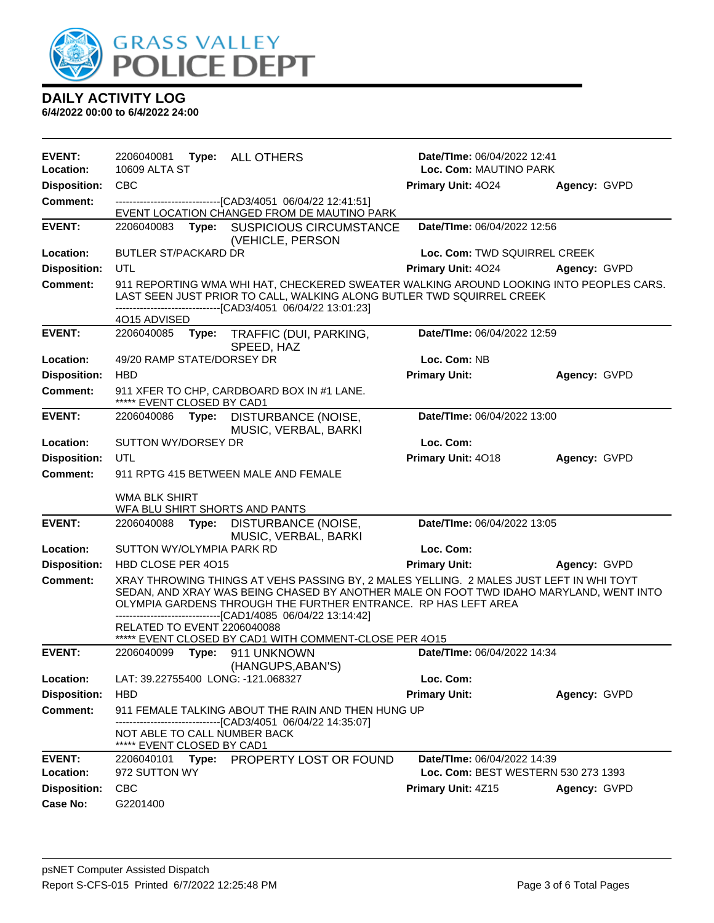

| <b>EVENT:</b>       | 2206040081                                                                                                                                                                                                                                                                                                           | Type: ALL OTHERS                                                                                                                                                                                                                | Date/TIme: 06/04/2022 12:41         |              |  |
|---------------------|----------------------------------------------------------------------------------------------------------------------------------------------------------------------------------------------------------------------------------------------------------------------------------------------------------------------|---------------------------------------------------------------------------------------------------------------------------------------------------------------------------------------------------------------------------------|-------------------------------------|--------------|--|
| Location:           | 10609 ALTA ST<br>Loc. Com: MAUTINO PARK                                                                                                                                                                                                                                                                              |                                                                                                                                                                                                                                 |                                     |              |  |
| <b>Disposition:</b> | CBC                                                                                                                                                                                                                                                                                                                  |                                                                                                                                                                                                                                 | Primary Unit: 4024                  | Agency: GVPD |  |
| <b>Comment:</b>     |                                                                                                                                                                                                                                                                                                                      | -------------------------------[CAD3/4051 06/04/22 12:41:51]                                                                                                                                                                    |                                     |              |  |
|                     |                                                                                                                                                                                                                                                                                                                      | EVENT LOCATION CHANGED FROM DE MAUTINO PARK                                                                                                                                                                                     |                                     |              |  |
| <b>EVENT:</b>       |                                                                                                                                                                                                                                                                                                                      | 2206040083 Type: SUSPICIOUS CIRCUMSTANCE<br>(VEHICLE, PERSON                                                                                                                                                                    | Date/TIme: 06/04/2022 12:56         |              |  |
| <b>Location:</b>    | <b>BUTLER ST/PACKARD DR</b>                                                                                                                                                                                                                                                                                          |                                                                                                                                                                                                                                 | Loc. Com: TWD SQUIRREL CREEK        |              |  |
| <b>Disposition:</b> | UTL                                                                                                                                                                                                                                                                                                                  |                                                                                                                                                                                                                                 | <b>Primary Unit: 4024</b>           | Agency: GVPD |  |
| Comment:            |                                                                                                                                                                                                                                                                                                                      | 911 REPORTING WMA WHI HAT, CHECKERED SWEATER WALKING AROUND LOOKING INTO PEOPLES CARS.<br>LAST SEEN JUST PRIOR TO CALL, WALKING ALONG BUTLER TWD SQUIRREL CREEK<br>-------------------------------[CAD3/4051_06/04/22 13:01:23] |                                     |              |  |
|                     | 4O15 ADVISED                                                                                                                                                                                                                                                                                                         |                                                                                                                                                                                                                                 |                                     |              |  |
| <b>EVENT:</b>       | 2206040085<br>Type:                                                                                                                                                                                                                                                                                                  | TRAFFIC (DUI, PARKING,<br>SPEED, HAZ                                                                                                                                                                                            | Date/TIme: 06/04/2022 12:59         |              |  |
| Location:           | 49/20 RAMP STATE/DORSEY DR                                                                                                                                                                                                                                                                                           |                                                                                                                                                                                                                                 | Loc. Com: NB                        |              |  |
| <b>Disposition:</b> | <b>HBD</b>                                                                                                                                                                                                                                                                                                           |                                                                                                                                                                                                                                 | <b>Primary Unit:</b>                | Agency: GVPD |  |
| <b>Comment:</b>     | ***** EVENT CLOSED BY CAD1                                                                                                                                                                                                                                                                                           | 911 XFER TO CHP, CARDBOARD BOX IN #1 LANE.                                                                                                                                                                                      |                                     |              |  |
| <b>EVENT:</b>       | Date/TIme: 06/04/2022 13:00<br>2206040086<br>Type: DISTURBANCE (NOISE,<br>MUSIC, VERBAL, BARKI                                                                                                                                                                                                                       |                                                                                                                                                                                                                                 |                                     |              |  |
| Location:           | SUTTON WY/DORSEY DR                                                                                                                                                                                                                                                                                                  |                                                                                                                                                                                                                                 | Loc. Com:                           |              |  |
| <b>Disposition:</b> | UTL                                                                                                                                                                                                                                                                                                                  |                                                                                                                                                                                                                                 | Primary Unit: 4018                  | Agency: GVPD |  |
| <b>Comment:</b>     | 911 RPTG 415 BETWEEN MALE AND FEMALE                                                                                                                                                                                                                                                                                 |                                                                                                                                                                                                                                 |                                     |              |  |
|                     | WMA BLK SHIRT<br>WFA BLU SHIRT SHORTS AND PANTS                                                                                                                                                                                                                                                                      |                                                                                                                                                                                                                                 |                                     |              |  |
| <b>EVENT:</b>       | 2206040088<br>Type:                                                                                                                                                                                                                                                                                                  | DISTURBANCE (NOISE,                                                                                                                                                                                                             | Date/TIme: 06/04/2022 13:05         |              |  |
|                     |                                                                                                                                                                                                                                                                                                                      | MUSIC, VERBAL, BARKI                                                                                                                                                                                                            |                                     |              |  |
| Location:           | SUTTON WY/OLYMPIA PARK RD                                                                                                                                                                                                                                                                                            |                                                                                                                                                                                                                                 | Loc. Com:                           |              |  |
| <b>Disposition:</b> | HBD CLOSE PER 4015                                                                                                                                                                                                                                                                                                   |                                                                                                                                                                                                                                 | <b>Primary Unit:</b>                | Agency: GVPD |  |
| <b>Comment:</b>     | XRAY THROWING THINGS AT VEHS PASSING BY, 2 MALES YELLING. 2 MALES JUST LEFT IN WHI TOYT<br>SEDAN, AND XRAY WAS BEING CHASED BY ANOTHER MALE ON FOOT TWD IDAHO MARYLAND, WENT INTO<br>OLYMPIA GARDENS THROUGH THE FURTHER ENTRANCE. RP HAS LEFT AREA<br>--------------------------------[CAD1/4085 06/04/22 13:14:42] |                                                                                                                                                                                                                                 |                                     |              |  |
|                     | RELATED TO EVENT 2206040088                                                                                                                                                                                                                                                                                          |                                                                                                                                                                                                                                 |                                     |              |  |
| <b>EVENT:</b>       |                                                                                                                                                                                                                                                                                                                      | ***** EVENT CLOSED BY CAD1 WITH COMMENT-CLOSE PER 4015                                                                                                                                                                          | Date/TIme: 06/04/2022 14:34         |              |  |
|                     | 2206040099                                                                                                                                                                                                                                                                                                           | Type: 911 UNKNOWN<br>(HANGUPS, ABAN'S)                                                                                                                                                                                          |                                     |              |  |
| Location:           | LAT: 39.22755400 LONG: -121.068327                                                                                                                                                                                                                                                                                   |                                                                                                                                                                                                                                 | Loc. Com:                           |              |  |
| <b>Disposition:</b> | <b>HBD</b>                                                                                                                                                                                                                                                                                                           |                                                                                                                                                                                                                                 | <b>Primary Unit:</b>                | Agency: GVPD |  |
| <b>Comment:</b>     |                                                                                                                                                                                                                                                                                                                      | 911 FEMALE TALKING ABOUT THE RAIN AND THEN HUNG UP<br>------------------------[CAD3/4051_06/04/22 14:35:07]                                                                                                                     |                                     |              |  |
|                     | NOT ABLE TO CALL NUMBER BACK<br>***** EVENT CLOSED BY CAD1                                                                                                                                                                                                                                                           |                                                                                                                                                                                                                                 |                                     |              |  |
| <b>EVENT:</b>       | 2206040101                                                                                                                                                                                                                                                                                                           | Type: PROPERTY LOST OR FOUND                                                                                                                                                                                                    | Date/TIme: 06/04/2022 14:39         |              |  |
| Location:           | 972 SUTTON WY                                                                                                                                                                                                                                                                                                        |                                                                                                                                                                                                                                 | Loc. Com: BEST WESTERN 530 273 1393 |              |  |
| <b>Disposition:</b> | <b>CBC</b>                                                                                                                                                                                                                                                                                                           |                                                                                                                                                                                                                                 | Primary Unit: 4Z15                  | Agency: GVPD |  |
| <b>Case No:</b>     | G2201400                                                                                                                                                                                                                                                                                                             |                                                                                                                                                                                                                                 |                                     |              |  |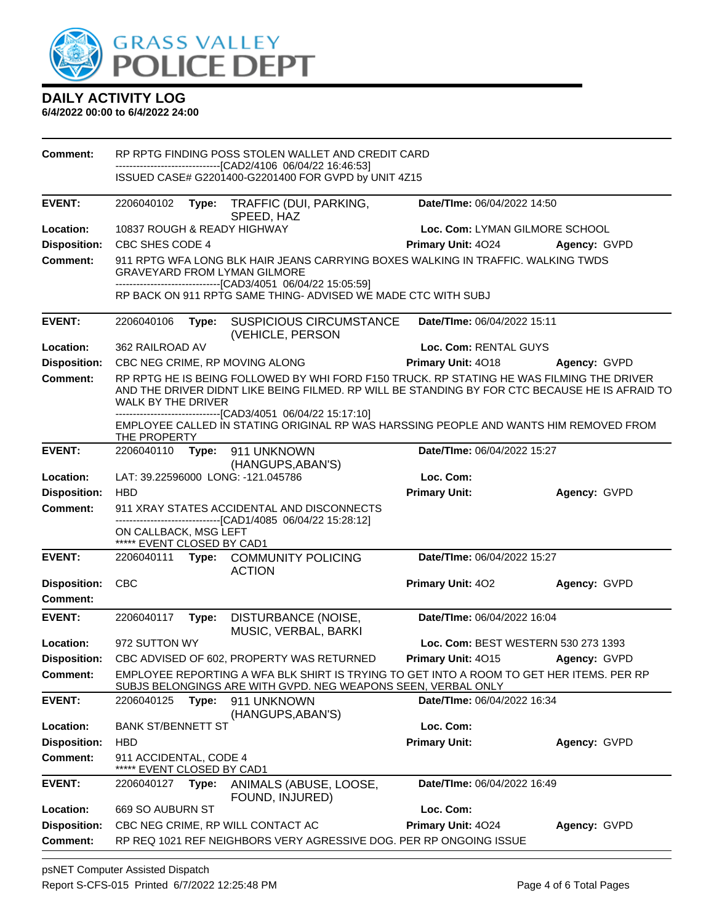

| Comment:            | RP RPTG FINDING POSS STOLEN WALLET AND CREDIT CARD                                                                                                                                                                |       |                                                                                                                                                           |                                                                                  |              |  |
|---------------------|-------------------------------------------------------------------------------------------------------------------------------------------------------------------------------------------------------------------|-------|-----------------------------------------------------------------------------------------------------------------------------------------------------------|----------------------------------------------------------------------------------|--------------|--|
|                     |                                                                                                                                                                                                                   |       | --------------------------[CAD2/4106_06/04/22 16:46:53]<br>ISSUED CASE# G2201400-G2201400 FOR GVPD by UNIT 4Z15                                           |                                                                                  |              |  |
| <b>EVENT:</b>       | 2206040102                                                                                                                                                                                                        | Type: | TRAFFIC (DUI, PARKING,<br>SPEED, HAZ                                                                                                                      | Date/TIme: 06/04/2022 14:50                                                      |              |  |
| Location:           | 10837 ROUGH & READY HIGHWAY                                                                                                                                                                                       |       |                                                                                                                                                           | Loc. Com: LYMAN GILMORE SCHOOL                                                   |              |  |
| <b>Disposition:</b> | CBC SHES CODE 4                                                                                                                                                                                                   |       |                                                                                                                                                           | <b>Primary Unit: 4024</b><br>Agency: GVPD                                        |              |  |
| Comment:            |                                                                                                                                                                                                                   |       | <b>GRAVEYARD FROM LYMAN GILMORE</b><br>------------------------------[CAD3/4051 06/04/22 15:05:59]                                                        | 911 RPTG WFA LONG BLK HAIR JEANS CARRYING BOXES WALKING IN TRAFFIC. WALKING TWDS |              |  |
|                     |                                                                                                                                                                                                                   |       | RP BACK ON 911 RPTG SAME THING- ADVISED WE MADE CTC WITH SUBJ                                                                                             |                                                                                  |              |  |
| <b>EVENT:</b>       | 2206040106                                                                                                                                                                                                        |       | Type: SUSPICIOUS CIRCUMSTANCE<br>(VEHICLE, PERSON                                                                                                         | Date/TIme: 06/04/2022 15:11                                                      |              |  |
| Location:           | 362 RAILROAD AV                                                                                                                                                                                                   |       |                                                                                                                                                           | Loc. Com: RENTAL GUYS                                                            |              |  |
| <b>Disposition:</b> |                                                                                                                                                                                                                   |       | CBC NEG CRIME, RP MOVING ALONG                                                                                                                            | Primary Unit: 4018                                                               | Agency: GVPD |  |
| Comment:            | RP RPTG HE IS BEING FOLLOWED BY WHI FORD F150 TRUCK. RP STATING HE WAS FILMING THE DRIVER<br>AND THE DRIVER DIDNT LIKE BEING FILMED. RP WILL BE STANDING BY FOR CTC BECAUSE HE IS AFRAID TO<br>WALK BY THE DRIVER |       |                                                                                                                                                           |                                                                                  |              |  |
|                     | THE PROPERTY                                                                                                                                                                                                      |       | -------------------[CAD3/4051_06/04/22 15:17:10]<br>EMPLOYEE CALLED IN STATING ORIGINAL RP WAS HARSSING PEOPLE AND WANTS HIM REMOVED FROM                 |                                                                                  |              |  |
| <b>EVENT:</b>       | 2206040110                                                                                                                                                                                                        |       | Type: 911 UNKNOWN<br>(HANGUPS, ABAN'S)                                                                                                                    | Date/TIme: 06/04/2022 15:27                                                      |              |  |
| Location:           |                                                                                                                                                                                                                   |       | LAT: 39.22596000 LONG: -121.045786                                                                                                                        | Loc. Com:                                                                        |              |  |
| <b>Disposition:</b> | <b>HBD</b>                                                                                                                                                                                                        |       |                                                                                                                                                           | <b>Primary Unit:</b>                                                             | Agency: GVPD |  |
| <b>Comment:</b>     | 911 XRAY STATES ACCIDENTAL AND DISCONNECTS                                                                                                                                                                        |       |                                                                                                                                                           |                                                                                  |              |  |
|                     | ON CALLBACK, MSG LEFT<br>***** EVENT CLOSED BY CAD1                                                                                                                                                               |       | -------------------------------[CAD1/4085 06/04/22 15:28:12]                                                                                              |                                                                                  |              |  |
| <b>EVENT:</b>       |                                                                                                                                                                                                                   |       | 2206040111 Type: COMMUNITY POLICING<br><b>ACTION</b>                                                                                                      | Date/TIme: 06/04/2022 15:27                                                      |              |  |
| <b>Disposition:</b> | CBC                                                                                                                                                                                                               |       |                                                                                                                                                           | Primary Unit: 402                                                                | Agency: GVPD |  |
| Comment:            |                                                                                                                                                                                                                   |       |                                                                                                                                                           |                                                                                  |              |  |
| <b>EVENT:</b>       | 2206040117                                                                                                                                                                                                        | Type: | DISTURBANCE (NOISE,<br>MUSIC, VERBAL, BARKI                                                                                                               | Date/TIme: 06/04/2022 16:04                                                      |              |  |
| Location:           | 972 SUTTON WY                                                                                                                                                                                                     |       |                                                                                                                                                           | Loc. Com: BEST WESTERN 530 273 1393                                              |              |  |
| <b>Disposition:</b> |                                                                                                                                                                                                                   |       | CBC ADVISED OF 602, PROPERTY WAS RETURNED                                                                                                                 | Primary Unit: 4015                                                               | Agency: GVPD |  |
| <b>Comment:</b>     |                                                                                                                                                                                                                   |       | EMPLOYEE REPORTING A WFA BLK SHIRT IS TRYING TO GET INTO A ROOM TO GET HER ITEMS. PER RP<br>SUBJS BELONGINGS ARE WITH GVPD. NEG WEAPONS SEEN, VERBAL ONLY |                                                                                  |              |  |
| <b>EVENT:</b>       | 2206040125                                                                                                                                                                                                        | Type: | 911 UNKNOWN<br>(HANGUPS, ABAN'S)                                                                                                                          | Date/TIme: 06/04/2022 16:34                                                      |              |  |
| Location:           | <b>BANK ST/BENNETT ST</b>                                                                                                                                                                                         |       |                                                                                                                                                           | Loc. Com:                                                                        |              |  |
| <b>Disposition:</b> | <b>HBD</b>                                                                                                                                                                                                        |       |                                                                                                                                                           | <b>Primary Unit:</b>                                                             | Agency: GVPD |  |
| <b>Comment:</b>     | 911 ACCIDENTAL, CODE 4<br>EVENT CLOSED BY CAD1                                                                                                                                                                    |       |                                                                                                                                                           |                                                                                  |              |  |
| <b>EVENT:</b>       | 2206040127                                                                                                                                                                                                        | Type: | ANIMALS (ABUSE, LOOSE,<br>FOUND, INJURED)                                                                                                                 | Date/TIme: 06/04/2022 16:49                                                      |              |  |
| Location:           | 669 SO AUBURN ST                                                                                                                                                                                                  |       |                                                                                                                                                           | Loc. Com:                                                                        |              |  |
| <b>Disposition:</b> |                                                                                                                                                                                                                   |       | CBC NEG CRIME, RP WILL CONTACT AC                                                                                                                         | Primary Unit: 4024                                                               | Agency: GVPD |  |
| <b>Comment:</b>     |                                                                                                                                                                                                                   |       | RP REQ 1021 REF NEIGHBORS VERY AGRESSIVE DOG. PER RP ONGOING ISSUE                                                                                        |                                                                                  |              |  |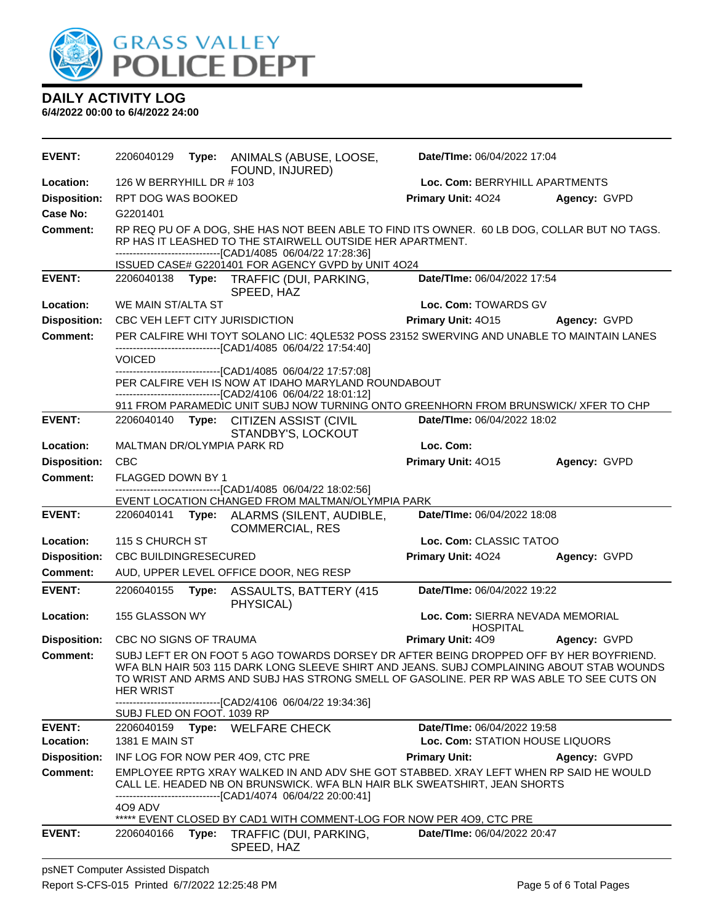

| <b>EVENT:</b>              | 2206040129                                                                                                                                                                                                                                                                                         |       | Type: ANIMALS (ABUSE, LOOSE,<br>FOUND, INJURED)                                                                                                                                                                                   | Date/TIme: 06/04/2022 17:04                                    |              |
|----------------------------|----------------------------------------------------------------------------------------------------------------------------------------------------------------------------------------------------------------------------------------------------------------------------------------------------|-------|-----------------------------------------------------------------------------------------------------------------------------------------------------------------------------------------------------------------------------------|----------------------------------------------------------------|--------------|
| Location:                  | 126 W BERRYHILL DR # 103                                                                                                                                                                                                                                                                           |       | Loc. Com: BERRYHILL APARTMENTS                                                                                                                                                                                                    |                                                                |              |
| <b>Disposition:</b>        | RPT DOG WAS BOOKED                                                                                                                                                                                                                                                                                 |       |                                                                                                                                                                                                                                   | Primary Unit: 4024                                             | Agency: GVPD |
| Case No:                   | G2201401                                                                                                                                                                                                                                                                                           |       |                                                                                                                                                                                                                                   |                                                                |              |
| Comment:                   |                                                                                                                                                                                                                                                                                                    |       | RP REQ PU OF A DOG, SHE HAS NOT BEEN ABLE TO FIND ITS OWNER. 60 LB DOG, COLLAR BUT NO TAGS.<br>RP HAS IT LEASHED TO THE STAIRWELL OUTSIDE HER APARTMENT.<br>-------------------------------[CAD1/4085 06/04/22 17:28:36]          |                                                                |              |
|                            |                                                                                                                                                                                                                                                                                                    |       | ISSUED CASE# G2201401 FOR AGENCY GVPD by UNIT 4O24                                                                                                                                                                                |                                                                |              |
| <b>EVENT:</b>              |                                                                                                                                                                                                                                                                                                    |       | 2206040138 Type: TRAFFIC (DUI, PARKING,<br>SPEED, HAZ                                                                                                                                                                             | Date/TIme: 06/04/2022 17:54                                    |              |
| Location:                  | WE MAIN ST/ALTA ST                                                                                                                                                                                                                                                                                 |       |                                                                                                                                                                                                                                   | Loc. Com: TOWARDS GV                                           |              |
| <b>Disposition:</b>        |                                                                                                                                                                                                                                                                                                    |       | CBC VEH LEFT CITY JURISDICTION                                                                                                                                                                                                    | Primary Unit: 4015                                             | Agency: GVPD |
| <b>Comment:</b>            |                                                                                                                                                                                                                                                                                                    |       | PER CALFIRE WHI TOYT SOLANO LIC: 4QLE532 POSS 23152 SWERVING AND UNABLE TO MAINTAIN LANES<br>-------------------------------[CAD1/4085 06/04/22 17:54:40]                                                                         |                                                                |              |
|                            | <b>VOICED</b>                                                                                                                                                                                                                                                                                      |       | ----------------------------[CAD1/4085 06/04/22 17:57:08]                                                                                                                                                                         |                                                                |              |
|                            |                                                                                                                                                                                                                                                                                                    |       | PER CALFIRE VEH IS NOW AT IDAHO MARYLAND ROUNDABOUT<br>---------------------------------[CAD2/4106 06/04/22 18:01:12]                                                                                                             |                                                                |              |
|                            |                                                                                                                                                                                                                                                                                                    |       | 911 FROM PARAMEDIC UNIT SUBJ NOW TURNING ONTO GREENHORN FROM BRUNSWICK/ XFER TO CHP                                                                                                                                               |                                                                |              |
| <b>EVENT:</b>              | 2206040140                                                                                                                                                                                                                                                                                         |       | Type: CITIZEN ASSIST (CIVIL<br>STANDBY'S, LOCKOUT                                                                                                                                                                                 | Date/TIme: 06/04/2022 18:02                                    |              |
| Location:                  | MALTMAN DR/OLYMPIA PARK RD                                                                                                                                                                                                                                                                         |       |                                                                                                                                                                                                                                   | Loc. Com:                                                      |              |
| <b>Disposition:</b>        | CBC                                                                                                                                                                                                                                                                                                |       |                                                                                                                                                                                                                                   | Primary Unit: 4015                                             | Agency: GVPD |
| <b>Comment:</b>            | <b>FLAGGED DOWN BY 1</b>                                                                                                                                                                                                                                                                           |       | ------------------------[CAD1/4085 06/04/22 18:02:56]                                                                                                                                                                             |                                                                |              |
|                            |                                                                                                                                                                                                                                                                                                    |       | EVENT LOCATION CHANGED FROM MALTMAN/OLYMPIA PARK                                                                                                                                                                                  |                                                                |              |
| <b>EVENT:</b>              |                                                                                                                                                                                                                                                                                                    |       | 2206040141 Type: ALARMS (SILENT, AUDIBLE,<br><b>COMMERCIAL, RES</b>                                                                                                                                                               | Date/TIme: 06/04/2022 18:08                                    |              |
| Location:                  | 115 S CHURCH ST                                                                                                                                                                                                                                                                                    |       |                                                                                                                                                                                                                                   | Loc. Com: CLASSIC TATOO                                        |              |
| <b>Disposition:</b>        | <b>CBC BUILDINGRESECURED</b>                                                                                                                                                                                                                                                                       |       |                                                                                                                                                                                                                                   | Primary Unit: 4024                                             | Agency: GVPD |
| Comment:                   |                                                                                                                                                                                                                                                                                                    |       | AUD, UPPER LEVEL OFFICE DOOR, NEG RESP                                                                                                                                                                                            |                                                                |              |
| <b>EVENT:</b>              | 2206040155                                                                                                                                                                                                                                                                                         | Type: | <b>ASSAULTS, BATTERY (415</b><br>PHYSICAL)                                                                                                                                                                                        | Date/TIme: 06/04/2022 19:22                                    |              |
| Location:                  | 155 GLASSON WY                                                                                                                                                                                                                                                                                     |       |                                                                                                                                                                                                                                   | Loc. Com: SIERRA NEVADA MEMORIAL                               |              |
| <b>Disposition:</b>        | CBC NO SIGNS OF TRAUMA                                                                                                                                                                                                                                                                             |       |                                                                                                                                                                                                                                   | <b>HOSPITAL</b><br><b>Primary Unit: 409</b>                    | Agency: GVPD |
| Comment:                   | SUBJ LEFT ER ON FOOT 5 AGO TOWARDS DORSEY DR AFTER BEING DROPPED OFF BY HER BOYFRIEND.<br>WEA BLN HAIR 503 115 DARK LONG SLEEVE SHIRT AND JEANS. SUBJ COMPLAINING ABOUT STAB WOUNDS<br>TO WRIST AND ARMS AND SUBJ HAS STRONG SMELL OF GASOLINE. PER RP WAS ABLE TO SEE CUTS ON<br><b>HER WRIST</b> |       |                                                                                                                                                                                                                                   |                                                                |              |
|                            | SUBJ FLED ON FOOT. 1039 RP                                                                                                                                                                                                                                                                         |       | ---------------[CAD2/4106_06/04/22 19:34:36]                                                                                                                                                                                      |                                                                |              |
| <b>EVENT:</b><br>Location: | 2206040159<br>1381 E MAIN ST                                                                                                                                                                                                                                                                       |       | Type: WELFARE CHECK                                                                                                                                                                                                               | Date/TIme: 06/04/2022 19:58<br>Loc. Com: STATION HOUSE LIQUORS |              |
| <b>Disposition:</b>        |                                                                                                                                                                                                                                                                                                    |       | INF LOG FOR NOW PER 409, CTC PRE                                                                                                                                                                                                  | <b>Primary Unit:</b>                                           | Agency: GVPD |
| <b>Comment:</b>            | 4O9 ADV                                                                                                                                                                                                                                                                                            |       | EMPLOYEE RPTG XRAY WALKED IN AND ADV SHE GOT STABBED. XRAY LEFT WHEN RP SAID HE WOULD<br>CALL LE. HEADED NB ON BRUNSWICK. WFA BLN HAIR BLK SWEATSHIRT, JEAN SHORTS<br>------------------------------[CAD1/4074 06/04/22 20:00:41] |                                                                |              |
|                            |                                                                                                                                                                                                                                                                                                    |       | ***** EVENT CLOSED BY CAD1 WITH COMMENT-LOG FOR NOW PER 4O9, CTC PRE                                                                                                                                                              |                                                                |              |
| <b>EVENT:</b>              | 2206040166                                                                                                                                                                                                                                                                                         | Type: | TRAFFIC (DUI, PARKING,<br>SPEED, HAZ                                                                                                                                                                                              | <b>Date/Time: 06/04/2022 20:47</b>                             |              |